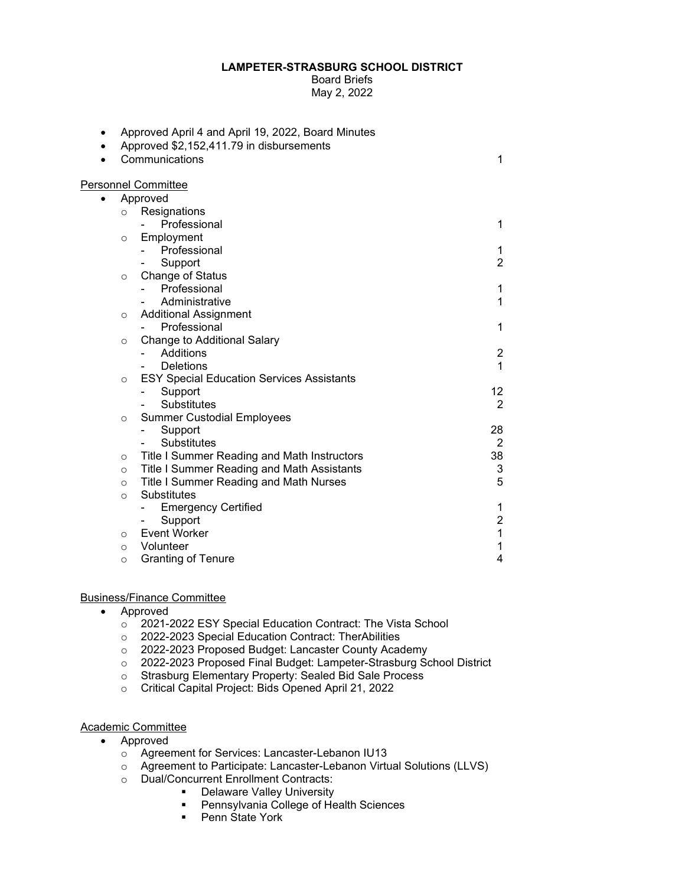## **LAMPETER-STRASBURG SCHOOL DISTRICT**

Board Briefs May 2, 2022

| ٠ |          | Approved April 4 and April 19, 2022, Board Minutes |                           |
|---|----------|----------------------------------------------------|---------------------------|
|   |          | Approved \$2,152,411.79 in disbursements           |                           |
|   |          | Communications                                     | 1                         |
|   |          |                                                    |                           |
|   |          | <b>Personnel Committee</b>                         |                           |
| ٠ |          | Approved                                           |                           |
|   | $\circ$  | Resignations                                       |                           |
|   |          | Professional                                       | 1                         |
|   | $\circ$  | Employment<br>Professional                         |                           |
|   |          |                                                    | 1<br>$\overline{2}$       |
|   |          | Support<br>Change of Status                        |                           |
|   | $\circ$  | Professional                                       | 1                         |
|   |          | Administrative                                     | 1                         |
|   |          | <b>Additional Assignment</b>                       |                           |
|   | $\circ$  | Professional                                       | 1                         |
|   | $\circ$  | <b>Change to Additional Salary</b>                 |                           |
|   |          | Additions                                          | $\overline{\mathbf{c}}$   |
|   |          | <b>Deletions</b>                                   | 1                         |
|   | $\circ$  | <b>ESY Special Education Services Assistants</b>   |                           |
|   |          | Support                                            | 12                        |
|   |          | <b>Substitutes</b>                                 | 2                         |
|   | $\circ$  | <b>Summer Custodial Employees</b>                  |                           |
|   |          | Support                                            | 28                        |
|   |          | Substitutes                                        | $\overline{2}$            |
|   | $\circ$  | Title I Summer Reading and Math Instructors        | 38                        |
|   | $\circ$  | Title I Summer Reading and Math Assistants         | $\ensuremath{\mathsf{3}}$ |
|   | $\circ$  | Title I Summer Reading and Math Nurses             | 5                         |
|   | $\circ$  | Substitutes                                        |                           |
|   |          | <b>Emergency Certified</b>                         | 1                         |
|   |          | Support                                            | $\boldsymbol{2}$          |
|   | $\circ$  | <b>Event Worker</b>                                | $\mathbf 1$               |
|   | $\Omega$ | Volunteer                                          | $\mathbf 1$               |
|   | $\circ$  | <b>Granting of Tenure</b>                          | 4                         |

## Business/Finance Committee

- Approved
	- o 2021-2022 ESY Special Education Contract: The Vista School
	- o 2022-2023 Special Education Contract: TherAbilities
	- o 2022-2023 Proposed Budget: Lancaster County Academy
	- o 2022-2023 Proposed Final Budget: Lampeter-Strasburg School District
	- o Strasburg Elementary Property: Sealed Bid Sale Process
	- o Critical Capital Project: Bids Opened April 21, 2022

## Academic Committee

- Approved
	- o Agreement for Services: Lancaster-Lebanon IU13
	- o Agreement to Participate: Lancaster-Lebanon Virtual Solutions (LLVS)
	- **O** Dual/Concurrent Enrollment Contracts:
		- Delaware Valley University
			- **Pennsylvania College of Health Sciences**<br>**Penn State York**
			- Penn State York